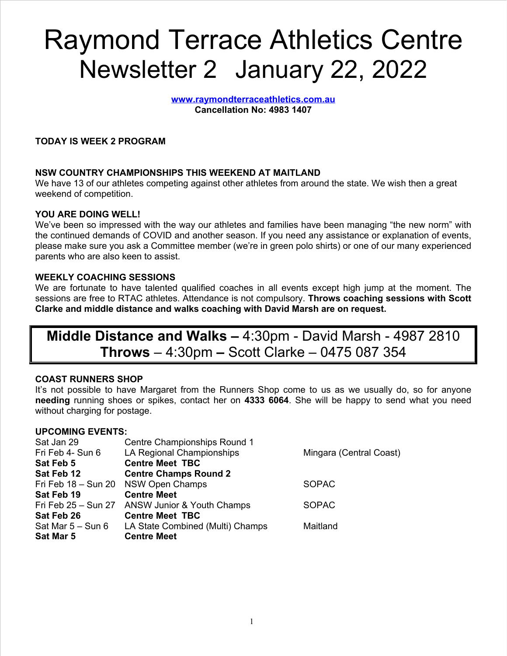# Raymond Terrace Athletics Centre Newsletter 2 January 22, 2022

**[www.raymondterraceathletics.com.au](http://www.raymondterraceathletics.com.au) Cancellation No: 4983 1407**

## **TODAY IS WEEK 2 PROGRAM**

## **NSW COUNTRY CHAMPIONSHIPS THIS WEEKEND AT MAITLAND**

We have 13 of our athletes competing against other athletes from around the state. We wish then a great weekend of competition.

## **YOU ARE DOING WELL!**

We've been so impressed with the way our athletes and families have been managing "the new norm" with the continued demands of COVID and another season. If you need any assistance or explanation of events, please make sure you ask a Committee member (we're in green polo shirts) or one of our many experienced parents who are also keen to assist.

### **WEEKLY COACHING SESSIONS**

We are fortunate to have talented qualified coaches in all events except high jump at the moment. The sessions are free to RTAC athletes. Attendance is not compulsory. **Throws coaching sessions with Scott Clarke and middle distance and walks coaching with David Marsh are on request.**

## **Middle Distance and Walks –** 4:30pm - David Marsh - 4987 2810 **Throws** – 4:30pm **–** Scott Clarke – 0475 087 354

## **COAST RUNNERS SHOP**

It's not possible to have Margaret from the Runners Shop come to us as we usually do, so for anyone **needing** running shoes or spikes, contact her on **4333 6064**. She will be happy to send what you need without charging for postage.

### **UPCOMING EVENTS:**

| Centre Championships Round 1                   |                         |
|------------------------------------------------|-------------------------|
| LA Regional Championships                      | Mingara (Central Coast) |
| <b>Centre Meet TBC</b>                         |                         |
| <b>Centre Champs Round 2</b>                   |                         |
| Fri Feb 18 - Sun 20 NSW Open Champs            | <b>SOPAC</b>            |
| <b>Centre Meet</b>                             |                         |
| Fri Feb 25 - Sun 27 ANSW Junior & Youth Champs | <b>SOPAC</b>            |
| <b>Centre Meet TBC</b>                         |                         |
| LA State Combined (Multi) Champs               | Maitland                |
| <b>Centre Meet</b>                             |                         |
|                                                |                         |